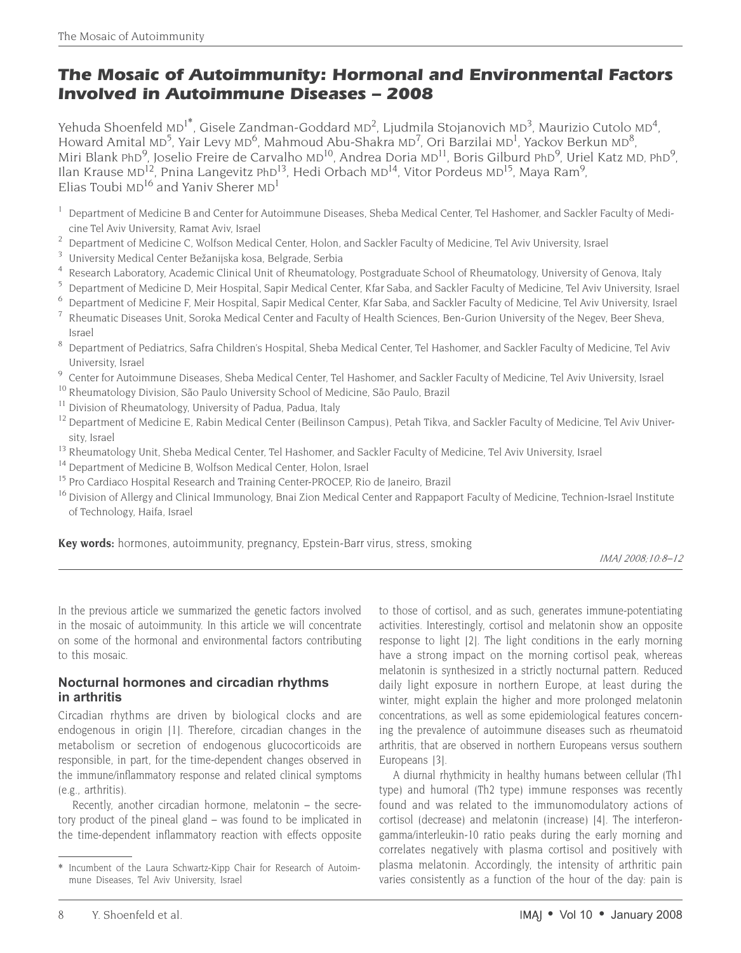# **The Mosaic of Autoimmunity: Hormonal and Environmental Factors Involved in Autoimmune Diseases – 2008**

Yehuda Shoenfeld MD<sup>1\*</sup>, Gisele Zandman-Goddard MD<sup>2</sup>, Ljudmila Stojanovich MD<sup>3</sup>, Maurizio Cutolo MD<sup>4</sup>, Howard Amital MD<sup>5</sup>, Yair Levy MD<sup>6</sup>, Mahmoud Abu-Shakra MD<sup>7</sup>, Ori Barzilai MD<sup>1</sup>, Yackov Berkun MD<sup>8</sup>, Miri Blank PhD<sup>9</sup>, Joselio Freire de Carvalho MD<sup>10</sup>, Andrea Doria MD<sup>11</sup>, Boris Gilburd PhD<sup>9</sup>, Uriel Katz MD, PhD<sup>9</sup>, Ilan Krause MD<sup>12</sup>, Pnina Langevitz PhD<sup>13</sup>, Hedi Orbach MD<sup>14</sup>, Vitor Pordeus MD<sup>15</sup>, Maya Ram<sup>9</sup>, Elias Toubi  $MD^{16}$  and Yaniv Sherer  $MD<sup>1</sup>$ 

- <sup>1</sup> Department of Medicine B and Center for Autoimmune Diseases, Sheba Medical Center, Tel Hashomer, and Sackler Faculty of Medicine Tel Aviv University, Ramat Aviv, Israel
- <sup>2</sup> Department of Medicine C, Wolfson Medical Center, Holon, and Sackler Faculty of Medicine, Tel Aviv University, Israel
- <sup>3</sup> University Medical Center Bežanijska kosa, Belgrade, Serbia
- 4 Research Laboratory, Academic Clinical Unit of Rheumatology, Postgraduate School of Rheumatology, University of Genova, Italy<br>5 Department of Medicine D. Meir Hospital Sapir Medical Center Kfar Saba, and Sackler Faculty
- <sup>5</sup> Department of Medicine D, Meir Hospital, Sapir Medical Center, Kfar Saba, and Sackler Faculty of Medicine, Tel Aviv University, Israel<br><sup>6</sup> Department of Medicine E Meir Hospital, Sapir Medical Center, Kfar Saba, and Sa
- <sup>6</sup> Department of Medicine F, Meir Hospital, Sapir Medical Center, Kfar Saba, and Sackler Faculty of Medicine, Tel Aviv University, Israel
- <sup>7</sup> Rheumatic Diseases Unit, Soroka Medical Center and Faculty of Health Sciences, Ben-Gurion University of the Negev, Beer Sheva, Israel
- <sup>8</sup> Department of Pediatrics, Safra Children's Hospital, Sheba Medical Center, Tel Hashomer, and Sackler Faculty of Medicine, Tel Aviv University, Israel<br>Center for Autoimmune Diseases, Sheba Medical Center, Tel Hashomer, and Sackler Faculty of Medicine, Tel Aviv University, Israel
- 
- <sup>10</sup> Rheumatology Division, São Paulo University School of Medicine, São Paulo, Brazil
- <sup>11</sup> Division of Rheumatology, University of Padua, Padua, Italy<br><sup>12</sup> Department of Medicine E. Pabin Medical Center (Beilinson
- <sup>12</sup> Department of Medicine E, Rabin Medical Center (Beilinson Campus), Petah Tikva, and Sackler Faculty of Medicine, Tel Aviv University, Israel
- <sup>13</sup> Rheumatology Unit, Sheba Medical Center, Tel Hashomer, and Sackler Faculty of Medicine, Tel Aviv University, Israel<br><sup>14</sup> Department of Medicine B. Wolfson Medical Center, Holon, Israel
- 
- <sup>15</sup> Pro Cardiaco Hospital Research and Training Center-PROCEP, Rio de Janeiro, Brazil
- <sup>16</sup> Division of Allergy and Clinical Immunology, Bnai Zion Medical Center and Rappaport Faculty of Medicine, Technion-Israel Institute of Technology, Haifa, Israel

**Key words:** hormones, autoimmunity, pregnancy, Epstein-Barr virus, stress, smoking

In the previous article we summarized the genetic factors involved in the mosaic of autoimmunity. In this article we will concentrate on some of the hormonal and environmental factors contributing to this mosaic.

### **Nocturnal hormones and circadian rhythms in arthritis**

Circadian rhythms are driven by biological clocks and are endogenous in origin [1]. Therefore, circadian changes in the metabolism or secretion of endogenous glucocorticoids are responsible, in part, for the time-dependent changes observed in the immune/inflammatory response and related clinical symptoms (e.g., arthritis).

Recently, another circadian hormone, melatonin – the secretory product of the pineal gland – was found to be implicated in the time-dependent inflammatory reaction with effects opposite to those of cortisol, and as such, generates immune-potentiating activities. Interestingly, cortisol and melatonin show an opposite response to light [2]. The light conditions in the early morning have a strong impact on the morning cortisol peak, whereas melatonin is synthesized in a strictly nocturnal pattern. Reduced daily light exposure in northern Europe, at least during the winter, might explain the higher and more prolonged melatonin concentrations, as well as some epidemiological features concerning the prevalence of autoimmune diseases such as rheumatoid arthritis, that are observed in northern Europeans versus southern Europeans [3].

A diurnal rhythmicity in healthy humans between cellular (Th1 type) and humoral (Th2 type) immune responses was recently found and was related to the immunomodulatory actions of cortisol (decrease) and melatonin (increase) [4]. The interferongamma/interleukin-10 ratio peaks during the early morning and correlates negatively with plasma cortisol and positively with plasma melatonin. Accordingly, the intensity of arthritic pain varies consistently as a function of the hour of the day: pain is

<sup>\*</sup>  Incumbent of the Laura Schwartz-Kipp Chair for Research of Autoimmune Diseases, Tel Aviv University, Israel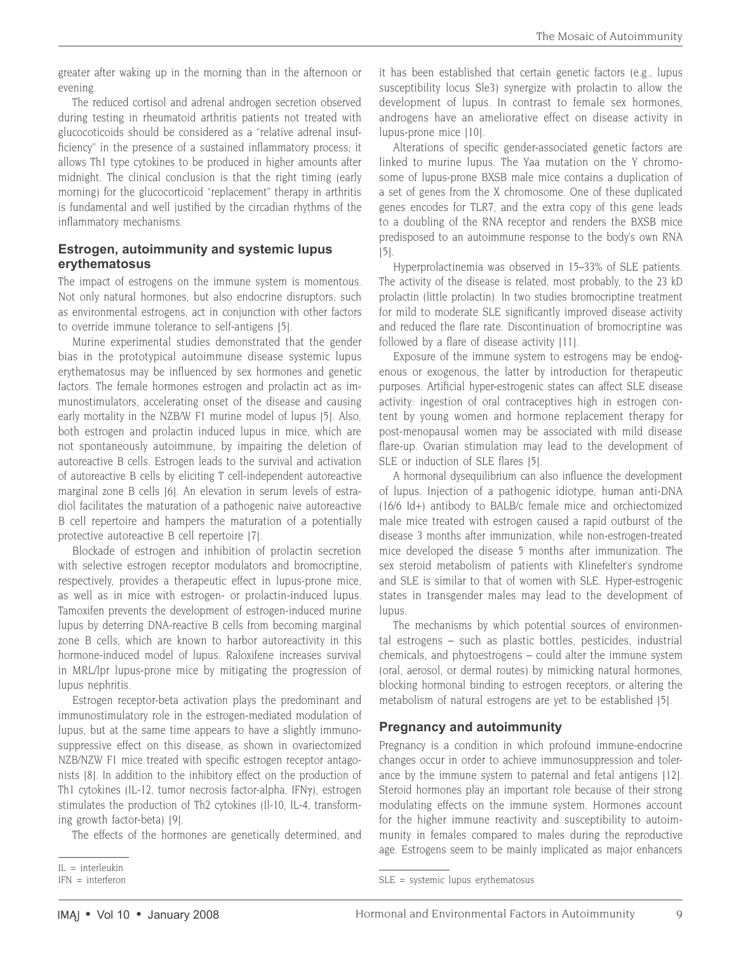greater after waking up in the morning than in the afternoon or evening.

The reduced cortisol and adrenal androgen secretion observed during testing in rheumatoid arthritis patients not treated with glucocoticoids should be considered as a "relative adrenal insufficiency" in the presence of a sustained inflammatory process; it allows Th1 type cytokines to be produced in higher amounts after midnight. The clinical conclusion is that the right timing (early morning) for the glucocorticoid "replacement" therapy in arthritis is fundamental and well justified by the circadian rhythms of the inflammatory mechanisms.

#### **Estrogen, autoimmunity and systemic lupus erythematosus**

The impact of estrogens on the immune system is momentous. Not only natural hormones, but also endocrine disruptors, such as environmental estrogens, act in conjunction with other factors to override immune tolerance to self-antigens [5].

Murine experimental studies demonstrated that the gender bias in the prototypical autoimmune disease systemic lupus erythematosus may be influenced by sex hormones and genetic factors. The female hormones estrogen and prolactin act as immunostimulators, accelerating onset of the disease and causing early mortality in the NZB/W F1 murine model of lupus [5]. Also, both estrogen and prolactin induced lupus in mice, which are not spontaneously autoimmune, by impairing the deletion of autoreactive B cells. Estrogen leads to the survival and activation of autoreactive B cells by eliciting T cell-independent autoreactive marginal zone B cells [6]. An elevation in serum levels of estradiol facilitates the maturation of a pathogenic naive autoreactive B cell repertoire and hampers the maturation of a potentially protective autoreactive B cell repertoire [7].

Blockade of estrogen and inhibition of prolactin secretion with selective estrogen receptor modulators and bromocriptine, respectively, provides a therapeutic effect in lupus-prone mice, as well as in mice with estrogen- or prolactin-induced lupus. Tamoxifen prevents the development of estrogen-induced murine lupus by deterring DNA-reactive B cells from becoming marginal zone B cells, which are known to harbor autoreactivity in this hormone-induced model of lupus. Raloxifene increases survival in MRL/lpr lupus-prone mice by mitigating the progression of lupus nephritis.

Estrogen receptor-beta activation plays the predominant and immunostimulatory role in the estrogen-mediated modulation of lupus, but at the same time appears to have a slightly immunosuppressive effect on this disease, as shown in ovariectomized NZB/NZW F1 mice treated with specific estrogen receptor antagonists [8]. In addition to the inhibitory effect on the production of Th1 cytokines (IL-12, tumor necrosis factor-alpha, IFNγ), estrogen stimulates the production of Th2 cytokines (Il-10, IL-4, transforming growth factor-beta) [9].

The effects of the hormones are genetically determined, and

it has been established that certain genetic factors (e.g., lupus susceptibility locus Sle3) synergize with prolactin to allow the development of lupus. In contrast to female sex hormones, androgens have an ameliorative effect on disease activity in lupus-prone mice [10].

Alterations of specific gender-associated genetic factors are linked to murine lupus. The Yaa mutation on the Y chromosome of lupus-prone BXSB male mice contains a duplication of a set of genes from the X chromosome. One of these duplicated genes encodes for TLR7, and the extra copy of this gene leads to a doubling of the RNA receptor and renders the BXSB mice predisposed to an autoimmune response to the body's own RNA [5].

Hyperprolactinemia was observed in 15–33% of SLE patients. The activity of the disease is related, most probably, to the 23 kD prolactin (little prolactin). In two studies bromocriptine treatment for mild to moderate SLE significantly improved disease activity and reduced the flare rate. Discontinuation of bromocriptine was followed by a flare of disease activity [11].

Exposure of the immune system to estrogens may be endogenous or exogenous, the latter by introduction for therapeutic purposes. Artificial hyper-estrogenic states can affect SLE disease activity: ingestion of oral contraceptives high in estrogen content by young women and hormone replacement therapy for post-menopausal women may be associated with mild disease flare-up. Ovarian stimulation may lead to the development of SLE or induction of SLE flares [5].

A hormonal dysequilibrium can also influence the development of lupus. Injection of a pathogenic idiotype, human anti-DNA (16/6 Id+) antibody to BALB/c female mice and orchiectomized male mice treated with estrogen caused a rapid outburst of the disease 3 months after immunization, while non-estrogen-treated mice developed the disease 5 months after immunization. The sex steroid metabolism of patients with Klinefelter's syndrome and SLE is similar to that of women with SLE. Hyper-estrogenic states in transgender males may lead to the development of lupus.

The mechanisms by which potential sources of environmental estrogens – such as plastic bottles, pesticides, industrial chemicals, and phytoestrogens – could alter the immune system (oral, aerosol, or dermal routes) by mimicking natural hormones, blocking hormonal binding to estrogen receptors, or altering the metabolism of natural estrogens are yet to be established [5].

# **Pregnancy and autoimmunity**

Pregnancy is a condition in which profound immune-endocrine changes occur in order to achieve immunosuppression and tolerance by the immune system to paternal and fetal antigens [12]. Steroid hormones play an important role because of their strong modulating effects on the immune system. Hormones account for the higher immune reactivity and susceptibility to autoimmunity in females compared to males during the reproductive age. Estrogens seem to be mainly implicated as major enhancers

IL = interleukin

 $IFN = interferon$ 

SLE = systemic lupus erythematosus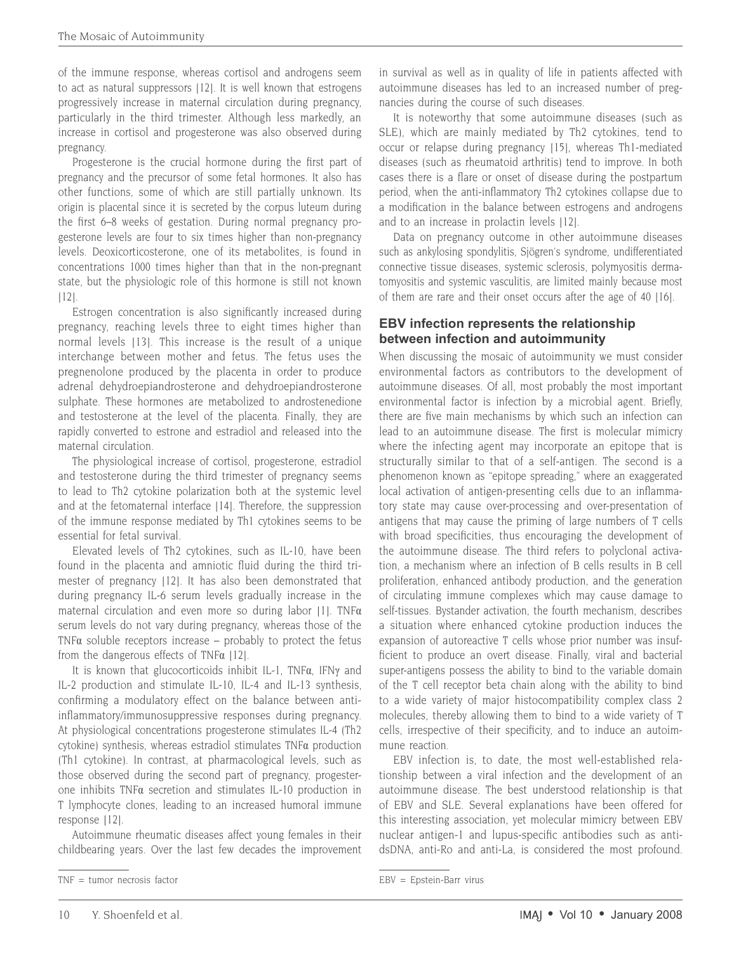of the immune response, whereas cortisol and androgens seem to act as natural suppressors [12]. It is well known that estrogens progressively increase in maternal circulation during pregnancy, particularly in the third trimester. Although less markedly, an increase in cortisol and progesterone was also observed during pregnancy.

Progesterone is the crucial hormone during the first part of pregnancy and the precursor of some fetal hormones. It also has other functions, some of which are still partially unknown. Its origin is placental since it is secreted by the corpus luteum during the first 6–8 weeks of gestation. During normal pregnancy progesterone levels are four to six times higher than non-pregnancy levels. Deoxicorticosterone, one of its metabolites, is found in concentrations 1000 times higher than that in the non-pregnant state, but the physiologic role of this hormone is still not known [12].

Estrogen concentration is also significantly increased during pregnancy, reaching levels three to eight times higher than normal levels [13]. This increase is the result of a unique interchange between mother and fetus. The fetus uses the pregnenolone produced by the placenta in order to produce adrenal dehydroepiandrosterone and dehydroepiandrosterone sulphate. These hormones are metabolized to androstenedione and testosterone at the level of the placenta. Finally, they are rapidly converted to estrone and estradiol and released into the maternal circulation.

The physiological increase of cortisol, progesterone, estradiol and testosterone during the third trimester of pregnancy seems to lead to Th2 cytokine polarization both at the systemic level and at the fetomaternal interface [14]. Therefore, the suppression of the immune response mediated by Th1 cytokines seems to be essential for fetal survival.

Elevated levels of Th2 cytokines, such as IL-10, have been found in the placenta and amniotic fluid during the third trimester of pregnancy [12]. It has also been demonstrated that during pregnancy IL-6 serum levels gradually increase in the maternal circulation and even more so during labor [1]. TNFα serum levels do not vary during pregnancy, whereas those of the TNF $\alpha$  soluble receptors increase – probably to protect the fetus from the dangerous effects of TNF $\alpha$  [12].

It is known that glucocorticoids inhibit IL-1, TNFα, IFNγ and IL-2 production and stimulate IL-10, IL-4 and IL-13 synthesis, confirming a modulatory effect on the balance between antiinflammatory/immunosuppressive responses during pregnancy. At physiological concentrations progesterone stimulates IL-4 (Th2 cytokine) synthesis, whereas estradiol stimulates TNFα production (Th1 cytokine). In contrast, at pharmacological levels, such as those observed during the second part of pregnancy, progesterone inhibits TNFα secretion and stimulates IL-10 production in T lymphocyte clones, leading to an increased humoral immune response [12].

Autoimmune rheumatic diseases affect young females in their childbearing years. Over the last few decades the improvement in survival as well as in quality of life in patients affected with autoimmune diseases has led to an increased number of pregnancies during the course of such diseases.

It is noteworthy that some autoimmune diseases (such as SLE), which are mainly mediated by Th2 cytokines, tend to occur or relapse during pregnancy [15], whereas Th1-mediated diseases (such as rheumatoid arthritis) tend to improve. In both cases there is a flare or onset of disease during the postpartum period, when the anti-inflammatory Th2 cytokines collapse due to a modification in the balance between estrogens and androgens and to an increase in prolactin levels [12].

Data on pregnancy outcome in other autoimmune diseases such as ankylosing spondylitis, Sjögren's syndrome, undifferentiated connective tissue diseases, systemic sclerosis, polymyositis dermatomyositis and systemic vasculitis, are limited mainly because most of them are rare and their onset occurs after the age of 40 [16].

# **EBV infection represents the relationship between infection and autoimmunity**

When discussing the mosaic of autoimmunity we must consider environmental factors as contributors to the development of autoimmune diseases. Of all, most probably the most important environmental factor is infection by a microbial agent. Briefly, there are five main mechanisms by which such an infection can lead to an autoimmune disease. The first is molecular mimicry where the infecting agent may incorporate an epitope that is structurally similar to that of a self-antigen. The second is a phenomenon known as "epitope spreading," where an exaggerated local activation of antigen-presenting cells due to an inflammatory state may cause over-processing and over-presentation of antigens that may cause the priming of large numbers of T cells with broad specificities, thus encouraging the development of the autoimmune disease. The third refers to polyclonal activation, a mechanism where an infection of B cells results in B cell proliferation, enhanced antibody production, and the generation of circulating immune complexes which may cause damage to self-tissues. Bystander activation, the fourth mechanism, describes a situation where enhanced cytokine production induces the expansion of autoreactive T cells whose prior number was insufficient to produce an overt disease. Finally, viral and bacterial super-antigens possess the ability to bind to the variable domain of the T cell receptor beta chain along with the ability to bind to a wide variety of major histocompatibility complex class 2 molecules, thereby allowing them to bind to a wide variety of T cells, irrespective of their specificity, and to induce an autoimmune reaction.

EBV infection is, to date, the most well-established relationship between a viral infection and the development of an autoimmune disease. The best understood relationship is that of EBV and SLE. Several explanations have been offered for this interesting association, yet molecular mimicry between EBV nuclear antigen-1 and lupus-specific antibodies such as antidsDNA, anti-Ro and anti-La, is considered the most profound.

TNF = tumor necrosis factor

EBV = Epstein-Barr virus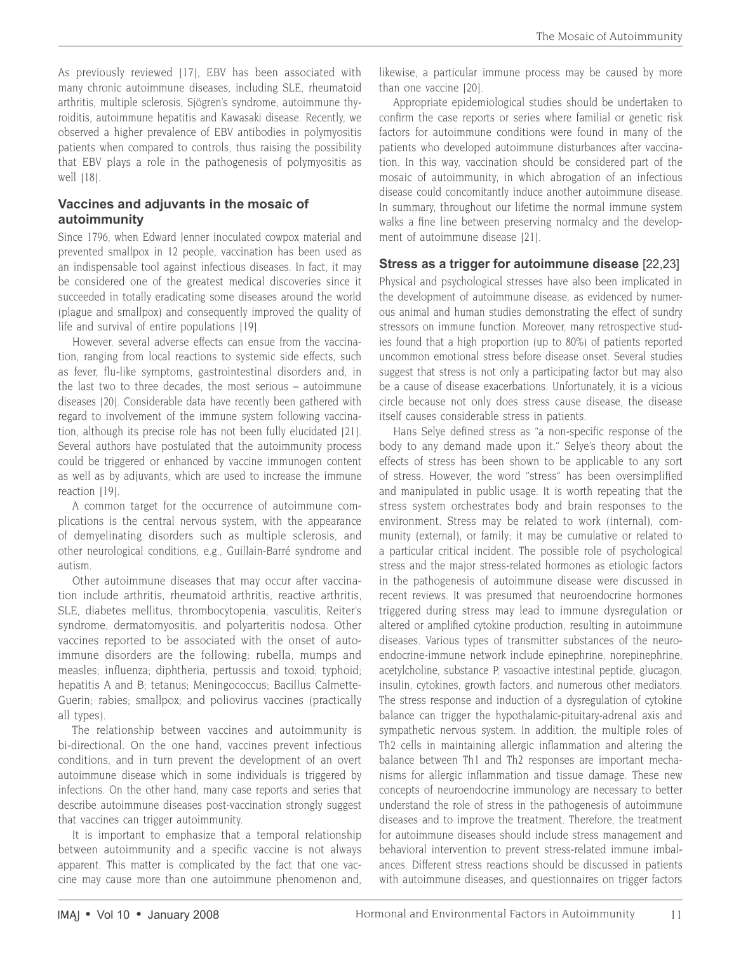As previously reviewed [17], EBV has been associated with many chronic autoimmune diseases, including SLE, rheumatoid arthritis, multiple sclerosis, Sjögren's syndrome, autoimmune thyroiditis, autoimmune hepatitis and Kawasaki disease. Recently, we observed a higher prevalence of EBV antibodies in polymyositis patients when compared to controls, thus raising the possibility that EBV plays a role in the pathogenesis of polymyositis as well  $[18]$ .

### **Vaccines and adjuvants in the mosaic of autoimmunity**

Since 1796, when Edward Jenner inoculated cowpox material and prevented smallpox in 12 people, vaccination has been used as an indispensable tool against infectious diseases. In fact, it may be considered one of the greatest medical discoveries since it succeeded in totally eradicating some diseases around the world (plague and smallpox) and consequently improved the quality of life and survival of entire populations [19].

However, several adverse effects can ensue from the vaccination, ranging from local reactions to systemic side effects, such as fever, flu-like symptoms, gastrointestinal disorders and, in the last two to three decades, the most serious – autoimmune diseases [20]. Considerable data have recently been gathered with regard to involvement of the immune system following vaccination, although its precise role has not been fully elucidated [21]. Several authors have postulated that the autoimmunity process could be triggered or enhanced by vaccine immunogen content as well as by adjuvants, which are used to increase the immune reaction [19].

A common target for the occurrence of autoimmune complications is the central nervous system, with the appearance of demyelinating disorders such as multiple sclerosis, and other neurological conditions, e.g., Guillain-Barré syndrome and autism.

Other autoimmune diseases that may occur after vaccination include arthritis, rheumatoid arthritis, reactive arthritis, SLE, diabetes mellitus, thrombocytopenia, vasculitis, Reiter's syndrome, dermatomyositis, and polyarteritis nodosa. Other vaccines reported to be associated with the onset of autoimmune disorders are the following: rubella, mumps and measles; influenza; diphtheria, pertussis and toxoid; typhoid; hepatitis A and B; tetanus; Meningococcus; Bacillus Calmette-Guerin; rabies; smallpox; and poliovirus vaccines (practically all types).

The relationship between vaccines and autoimmunity is bi-directional. On the one hand, vaccines prevent infectious conditions, and in turn prevent the development of an overt autoimmune disease which in some individuals is triggered by infections. On the other hand, many case reports and series that describe autoimmune diseases post-vaccination strongly suggest that vaccines can trigger autoimmunity.

It is important to emphasize that a temporal relationship between autoimmunity and a specific vaccine is not always apparent. This matter is complicated by the fact that one vaccine may cause more than one autoimmune phenomenon and, likewise, a particular immune process may be caused by more than one vaccine [20].

Appropriate epidemiological studies should be undertaken to confirm the case reports or series where familial or genetic risk factors for autoimmune conditions were found in many of the patients who developed autoimmune disturbances after vaccination. In this way, vaccination should be considered part of the mosaic of autoimmunity, in which abrogation of an infectious disease could concomitantly induce another autoimmune disease. In summary, throughout our lifetime the normal immune system walks a fine line between preserving normalcy and the development of autoimmune disease [21].

# **Stress as a trigger for autoimmune disease** [22,23]

Physical and psychological stresses have also been implicated in the development of autoimmune disease, as evidenced by numerous animal and human studies demonstrating the effect of sundry stressors on immune function. Moreover, many retrospective studies found that a high proportion (up to 80%) of patients reported uncommon emotional stress before disease onset. Several studies suggest that stress is not only a participating factor but may also be a cause of disease exacerbations. Unfortunately, it is a vicious circle because not only does stress cause disease, the disease itself causes considerable stress in patients.

Hans Selye defined stress as "a non-specific response of the body to any demand made upon it." Selye's theory about the effects of stress has been shown to be applicable to any sort of stress. However, the word "stress" has been oversimplified and manipulated in public usage. It is worth repeating that the stress system orchestrates body and brain responses to the environment. Stress may be related to work (internal), community (external), or family; it may be cumulative or related to a particular critical incident. The possible role of psychological stress and the major stress-related hormones as etiologic factors in the pathogenesis of autoimmune disease were discussed in recent reviews. It was presumed that neuroendocrine hormones triggered during stress may lead to immune dysregulation or altered or amplified cytokine production, resulting in autoimmune diseases. Various types of transmitter substances of the neuroendocrine-immune network include epinephrine, norepinephrine, acetylcholine, substance P, vasoactive intestinal peptide, glucagon, insulin, cytokines, growth factors, and numerous other mediators. The stress response and induction of a dysregulation of cytokine balance can trigger the hypothalamic-pituitary-adrenal axis and sympathetic nervous system. In addition, the multiple roles of Th2 cells in maintaining allergic inflammation and altering the balance between Th1 and Th2 responses are important mechanisms for allergic inflammation and tissue damage. These new concepts of neuroendocrine immunology are necessary to better understand the role of stress in the pathogenesis of autoimmune diseases and to improve the treatment. Therefore, the treatment for autoimmune diseases should include stress management and behavioral intervention to prevent stress-related immune imbalances. Different stress reactions should be discussed in patients with autoimmune diseases, and questionnaires on trigger factors